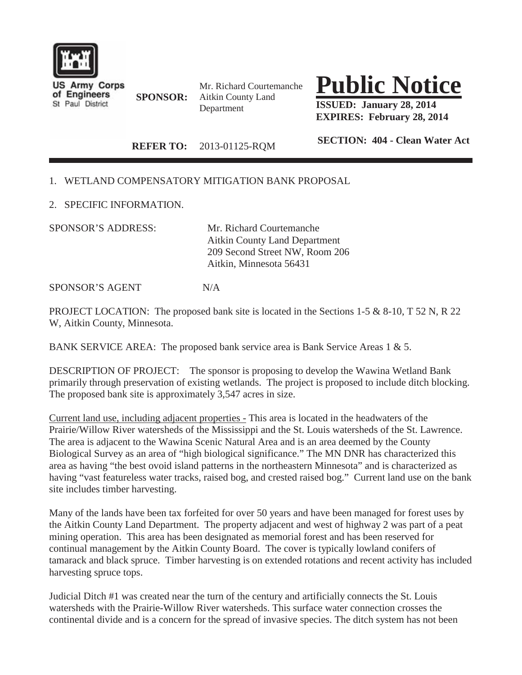

**US Army Corps** of Engineers St Paul District

**SPONSOR:** Mr. Richard Courtemanche Aitkin County Land Department

**Public Notice**

**ISSUED: January 28, 2014 EXPIRES: February 28, 2014**

**REFER TO:** 2013-01125-RQM **SECTION: 404 - Clean Water Act**

#### 1. WETLAND COMPENSATORY MITIGATION BANK PROPOSAL

2. SPECIFIC INFORMATION.

SPONSOR'S ADDRESS: Mr. Richard Courtemanche

Aitkin County Land Department 209 Second Street NW, Room 206 Aitkin, Minnesota 56431

SPONSOR'S AGENT N/A

PROJECT LOCATION: The proposed bank site is located in the Sections 1-5  $\&$  8-10, T 52 N, R 22 W, Aitkin County, Minnesota.

BANK SERVICE AREA: The proposed bank service area is Bank Service Areas 1 & 5.

DESCRIPTION OF PROJECT: The sponsor is proposing to develop the Wawina Wetland Bank primarily through preservation of existing wetlands. The project is proposed to include ditch blocking. The proposed bank site is approximately 3,547 acres in size.

Current land use, including adjacent properties - This area is located in the headwaters of the Prairie/Willow River watersheds of the Mississippi and the St. Louis watersheds of the St. Lawrence. The area is adjacent to the Wawina Scenic Natural Area and is an area deemed by the County Biological Survey as an area of "high biological significance." The MN DNR has characterized this area as having "the best ovoid island patterns in the northeastern Minnesota" and is characterized as having "vast featureless water tracks, raised bog, and crested raised bog." Current land use on the bank site includes timber harvesting.

Many of the lands have been tax forfeited for over 50 years and have been managed for forest uses by the Aitkin County Land Department. The property adjacent and west of highway 2 was part of a peat mining operation. This area has been designated as memorial forest and has been reserved for continual management by the Aitkin County Board. The cover is typically lowland conifers of tamarack and black spruce. Timber harvesting is on extended rotations and recent activity has included harvesting spruce tops.

Judicial Ditch #1 was created near the turn of the century and artificially connects the St. Louis watersheds with the Prairie-Willow River watersheds. This surface water connection crosses the continental divide and is a concern for the spread of invasive species. The ditch system has not been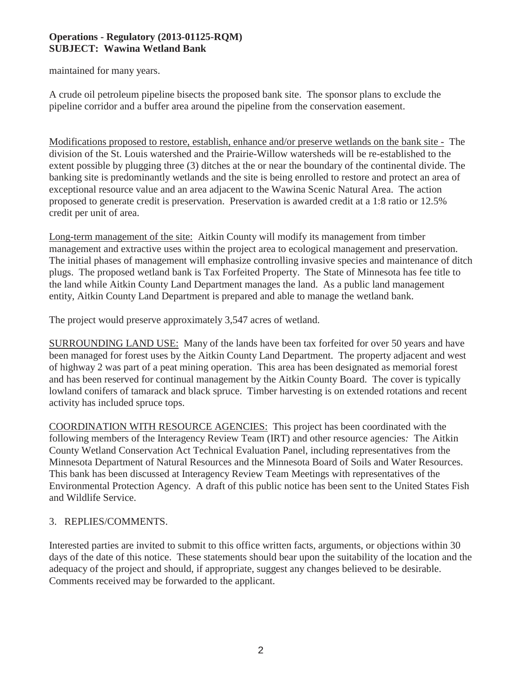#### **Operations - Regulatory (2013-01125-RQM) SUBJECT: Wawina Wetland Bank**

maintained for many years.

A crude oil petroleum pipeline bisects the proposed bank site. The sponsor plans to exclude the pipeline corridor and a buffer area around the pipeline from the conservation easement.

Modifications proposed to restore, establish, enhance and/or preserve wetlands on the bank site - The division of the St. Louis watershed and the Prairie-Willow watersheds will be re-established to the extent possible by plugging three (3) ditches at the or near the boundary of the continental divide. The banking site is predominantly wetlands and the site is being enrolled to restore and protect an area of exceptional resource value and an area adjacent to the Wawina Scenic Natural Area. The action proposed to generate credit is preservation. Preservation is awarded credit at a 1:8 ratio or 12.5% credit per unit of area.

Long-term management of the site: Aitkin County will modify its management from timber management and extractive uses within the project area to ecological management and preservation. The initial phases of management will emphasize controlling invasive species and maintenance of ditch plugs. The proposed wetland bank is Tax Forfeited Property. The State of Minnesota has fee title to the land while Aitkin County Land Department manages the land. As a public land management entity, Aitkin County Land Department is prepared and able to manage the wetland bank.

The project would preserve approximately 3,547 acres of wetland.

SURROUNDING LAND USE: Many of the lands have been tax forfeited for over 50 years and have been managed for forest uses by the Aitkin County Land Department. The property adjacent and west of highway 2 was part of a peat mining operation. This area has been designated as memorial forest and has been reserved for continual management by the Aitkin County Board. The cover is typically lowland conifers of tamarack and black spruce. Timber harvesting is on extended rotations and recent activity has included spruce tops.

COORDINATION WITH RESOURCE AGENCIES: This project has been coordinated with the following members of the Interagency Review Team (IRT) and other resource agencies*:* The Aitkin County Wetland Conservation Act Technical Evaluation Panel, including representatives from the Minnesota Department of Natural Resources and the Minnesota Board of Soils and Water Resources. This bank has been discussed at Interagency Review Team Meetings with representatives of the Environmental Protection Agency. A draft of this public notice has been sent to the United States Fish and Wildlife Service.

#### 3. REPLIES/COMMENTS.

Interested parties are invited to submit to this office written facts, arguments, or objections within 30 days of the date of this notice. These statements should bear upon the suitability of the location and the adequacy of the project and should, if appropriate, suggest any changes believed to be desirable. Comments received may be forwarded to the applicant.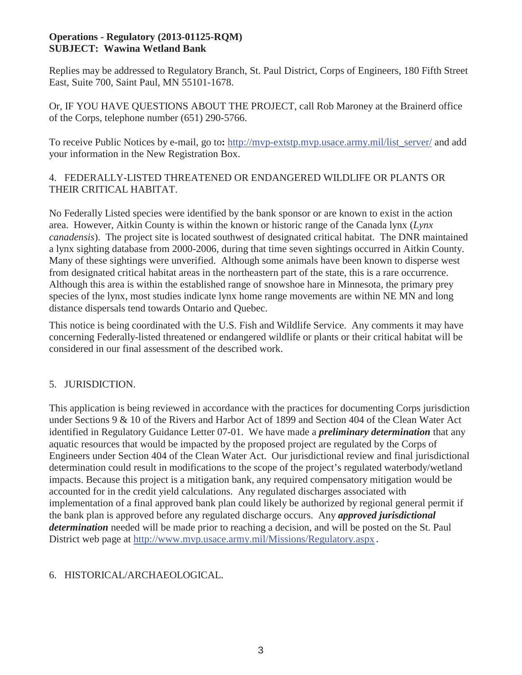#### **Operations - Regulatory (2013-01125-RQM) SUBJECT: Wawina Wetland Bank**

Replies may be addressed to Regulatory Branch, St. Paul District, Corps of Engineers, 180 Fifth Street East, Suite 700, Saint Paul, MN 55101-1678.

Or, IF YOU HAVE QUESTIONS ABOUT THE PROJECT, call Rob Maroney at the Brainerd office of the Corps, telephone number (651) 290-5766.

To receive Public Notices by e-mail, go to**:** http://mvp-extstp.mvp.usace.army.mil/list\_server/ and add your information in the New Registration Box.

#### 4. FEDERALLY-LISTED THREATENED OR ENDANGERED WILDLIFE OR PLANTS OR THEIR CRITICAL HABITAT.

No Federally Listed species were identified by the bank sponsor or are known to exist in the action area. However, Aitkin County is within the known or historic range of the Canada lynx (*Lynx canadensis*). The project site is located southwest of designated critical habitat. The DNR maintained a lynx sighting database from 2000-2006, during that time seven sightings occurred in Aitkin County. Many of these sightings were unverified. Although some animals have been known to disperse west from designated critical habitat areas in the northeastern part of the state, this is a rare occurrence. Although this area is within the established range of snowshoe hare in Minnesota, the primary prey species of the lynx, most studies indicate lynx home range movements are within NE MN and long distance dispersals tend towards Ontario and Quebec.

This notice is being coordinated with the U.S. Fish and Wildlife Service. Any comments it may have concerning Federally-listed threatened or endangered wildlife or plants or their critical habitat will be considered in our final assessment of the described work.

#### 5. JURISDICTION.

This application is being reviewed in accordance with the practices for documenting Corps jurisdiction under Sections 9 & 10 of the Rivers and Harbor Act of 1899 and Section 404 of the Clean Water Act identified in Regulatory Guidance Letter 07-01. We have made a *preliminary determination* that any aquatic resources that would be impacted by the proposed project are regulated by the Corps of Engineers under Section 404 of the Clean Water Act. Our jurisdictional review and final jurisdictional determination could result in modifications to the scope of the project's regulated waterbody/wetland impacts. Because this project is a mitigation bank, any required compensatory mitigation would be accounted for in the credit yield calculations. Any regulated discharges associated with implementation of a final approved bank plan could likely be authorized by regional general permit if the bank plan is approved before any regulated discharge occurs. Any *approved jurisdictional determination* needed will be made prior to reaching a decision, and will be posted on the St. Paul District web page at http://www.mvp.usace.army.mil/Missions/Regulatory.aspx.

#### 6. HISTORICAL/ARCHAEOLOGICAL.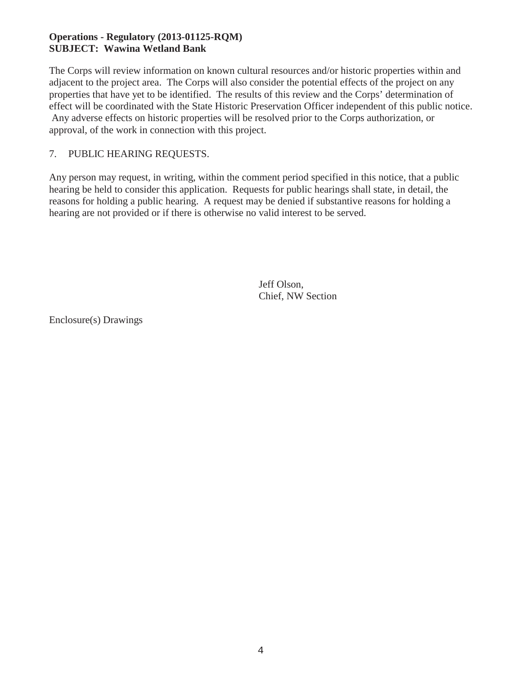#### **Operations - Regulatory (2013-01125-RQM) SUBJECT: Wawina Wetland Bank**

The Corps will review information on known cultural resources and/or historic properties within and adjacent to the project area. The Corps will also consider the potential effects of the project on any properties that have yet to be identified. The results of this review and the Corps' determination of effect will be coordinated with the State Historic Preservation Officer independent of this public notice. Any adverse effects on historic properties will be resolved prior to the Corps authorization, or approval, of the work in connection with this project.

#### 7. PUBLIC HEARING REQUESTS.

Any person may request, in writing, within the comment period specified in this notice, that a public hearing be held to consider this application. Requests for public hearings shall state, in detail, the reasons for holding a public hearing. A request may be denied if substantive reasons for holding a hearing are not provided or if there is otherwise no valid interest to be served.

> Jeff Olson, Chief, NW Section

Enclosure(s) Drawings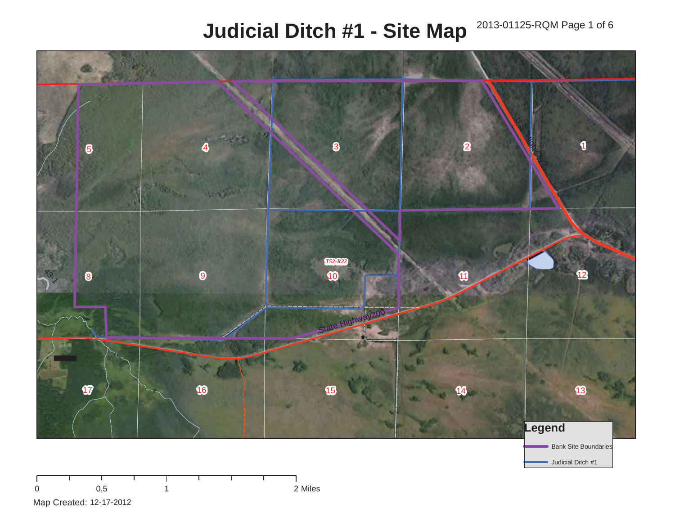### **Judicial Ditch #1 - Site Map** 2013-01125-RQM Page 1 of 6



Map Created: 12-17-2012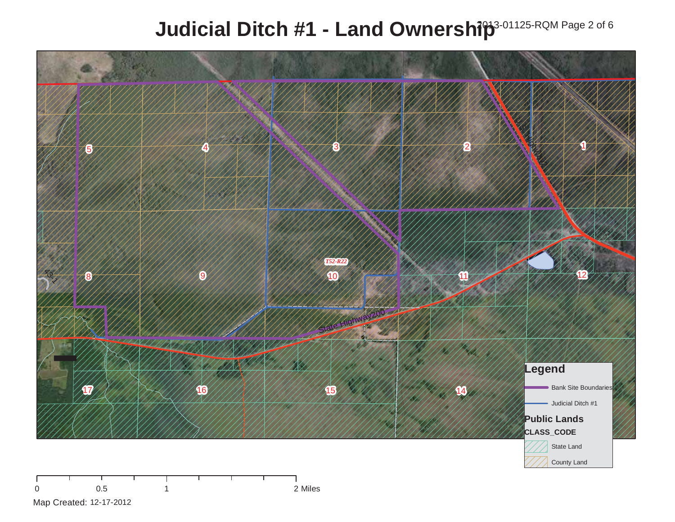### **Judicial Ditch #1 - Land Ownership<sup>3-01125-RQM Page 2 of 6</sup>**



Map Created: 12-17-2012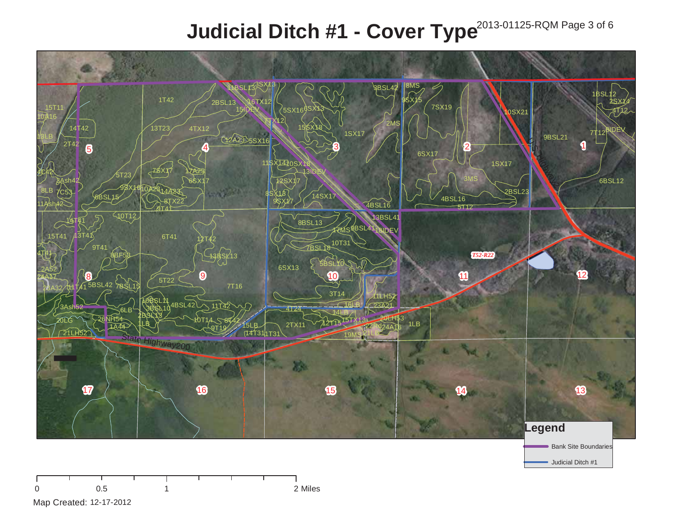# **Judicial Ditch #1 - Cover Type** $^{2013\text{-}01125\text{-} \text{RQM Page 3 of 6}}$



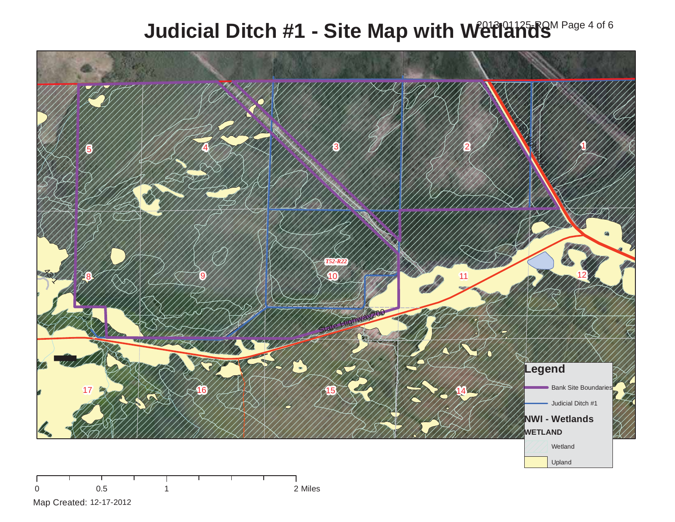## Judicial Ditch #1 - Site Map with Wetlands Ram Page 4 of 6



Map Created: 12-17-2012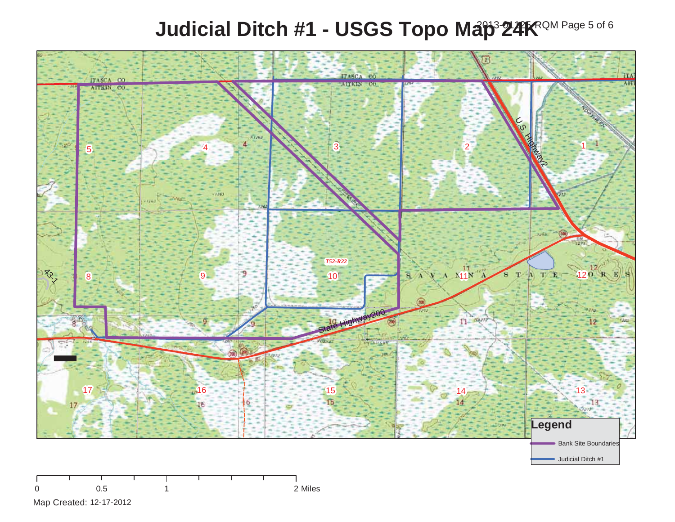### Judicial Ditch #1 - USGS Topo Map<sup>3</sup>24K<sup>RQM Page 5 of 6</sup>



Map Created: 12-17-2012

0 0.5 1  $\sim$  2 0.5 1 2 Miles